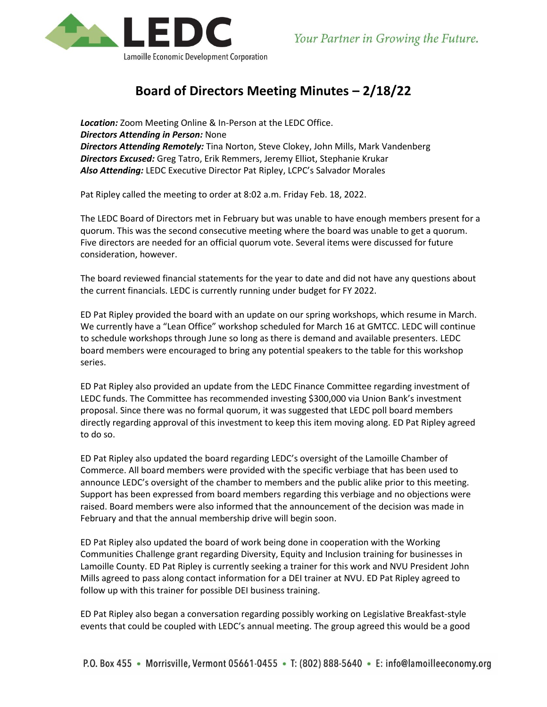

## **Board of Directors Meeting Minutes – 2/18/22**

*Location:* Zoom Meeting Online & In-Person at the LEDC Office. *Directors Attending in Person:* None *Directors Attending Remotely:* Tina Norton, Steve Clokey, John Mills, Mark Vandenberg *Directors Excused:* Greg Tatro, Erik Remmers, Jeremy Elliot, Stephanie Krukar *Also Attending:* LEDC Executive Director Pat Ripley, LCPC's Salvador Morales

Pat Ripley called the meeting to order at 8:02 a.m. Friday Feb. 18, 2022.

The LEDC Board of Directors met in February but was unable to have enough members present for a quorum. This was the second consecutive meeting where the board was unable to get a quorum. Five directors are needed for an official quorum vote. Several items were discussed for future consideration, however.

The board reviewed financial statements for the year to date and did not have any questions about the current financials. LEDC is currently running under budget for FY 2022.

ED Pat Ripley provided the board with an update on our spring workshops, which resume in March. We currently have a "Lean Office" workshop scheduled for March 16 at GMTCC. LEDC will continue to schedule workshops through June so long as there is demand and available presenters. LEDC board members were encouraged to bring any potential speakers to the table for this workshop series.

ED Pat Ripley also provided an update from the LEDC Finance Committee regarding investment of LEDC funds. The Committee has recommended investing \$300,000 via Union Bank's investment proposal. Since there was no formal quorum, it was suggested that LEDC poll board members directly regarding approval of this investment to keep this item moving along. ED Pat Ripley agreed to do so.

ED Pat Ripley also updated the board regarding LEDC's oversight of the Lamoille Chamber of Commerce. All board members were provided with the specific verbiage that has been used to announce LEDC's oversight of the chamber to members and the public alike prior to this meeting. Support has been expressed from board members regarding this verbiage and no objections were raised. Board members were also informed that the announcement of the decision was made in February and that the annual membership drive will begin soon.

ED Pat Ripley also updated the board of work being done in cooperation with the Working Communities Challenge grant regarding Diversity, Equity and Inclusion training for businesses in Lamoille County. ED Pat Ripley is currently seeking a trainer for this work and NVU President John Mills agreed to pass along contact information for a DEI trainer at NVU. ED Pat Ripley agreed to follow up with this trainer for possible DEI business training.

ED Pat Ripley also began a conversation regarding possibly working on Legislative Breakfast-style events that could be coupled with LEDC's annual meeting. The group agreed this would be a good